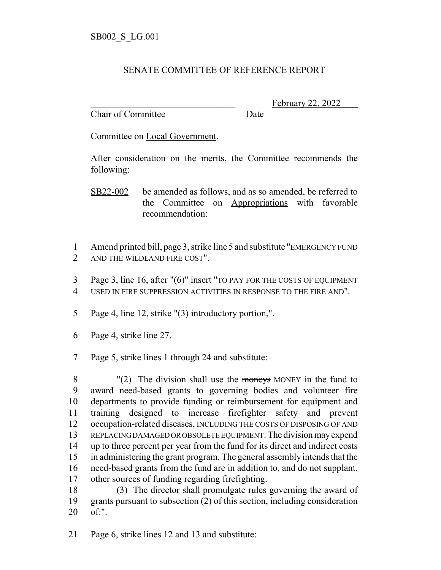## SENATE COMMITTEE OF REFERENCE REPORT

Chair of Committee Date

February 22, 2022

Committee on Local Government.

After consideration on the merits, the Committee recommends the following:

SB22-002 be amended as follows, and as so amended, be referred to the Committee on Appropriations with favorable recommendation:

 Amend printed bill, page 3, strike line 5 and substitute "EMERGENCY FUND AND THE WILDLAND FIRE COST".

 Page 3, line 16, after "(6)" insert "TO PAY FOR THE COSTS OF EQUIPMENT USED IN FIRE SUPPRESSION ACTIVITIES IN RESPONSE TO THE FIRE AND".

Page 4, line 12, strike "(3) introductory portion,".

Page 4, strike line 27.

Page 5, strike lines 1 through 24 and substitute:

8 "(2) The division shall use the moneys MONEY in the fund to award need-based grants to governing bodies and volunteer fire departments to provide funding or reimbursement for equipment and training designed to increase firefighter safety and prevent occupation-related diseases, INCLUDING THE COSTS OF DISPOSING OF AND REPLACING DAMAGED OR OBSOLETE EQUIPMENT. The division may expend up to three percent per year from the fund for its direct and indirect costs in administering the grant program. The general assembly intends that the need-based grants from the fund are in addition to, and do not supplant, other sources of funding regarding firefighting.

 (3) The director shall promulgate rules governing the award of grants pursuant to subsection (2) of this section, including consideration of:".

Page 6, strike lines 12 and 13 and substitute: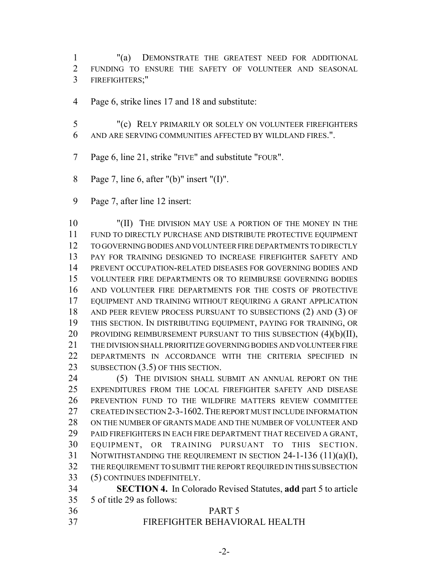"(a) DEMONSTRATE THE GREATEST NEED FOR ADDITIONAL FUNDING TO ENSURE THE SAFETY OF VOLUNTEER AND SEASONAL FIREFIGHTERS;"

- Page 6, strike lines 17 and 18 and substitute:
- "(c) RELY PRIMARILY OR SOLELY ON VOLUNTEER FIREFIGHTERS AND ARE SERVING COMMUNITIES AFFECTED BY WILDLAND FIRES.".
- Page 6, line 21, strike "FIVE" and substitute "FOUR".
- Page 7, line 6, after "(b)" insert "(I)".
- Page 7, after line 12 insert:

10 "(II) THE DIVISION MAY USE A PORTION OF THE MONEY IN THE FUND TO DIRECTLY PURCHASE AND DISTRIBUTE PROTECTIVE EQUIPMENT TO GOVERNING BODIES AND VOLUNTEER FIRE DEPARTMENTS TO DIRECTLY PAY FOR TRAINING DESIGNED TO INCREASE FIREFIGHTER SAFETY AND PREVENT OCCUPATION-RELATED DISEASES FOR GOVERNING BODIES AND VOLUNTEER FIRE DEPARTMENTS OR TO REIMBURSE GOVERNING BODIES AND VOLUNTEER FIRE DEPARTMENTS FOR THE COSTS OF PROTECTIVE EQUIPMENT AND TRAINING WITHOUT REQUIRING A GRANT APPLICATION AND PEER REVIEW PROCESS PURSUANT TO SUBSECTIONS (2) AND (3) OF THIS SECTION. IN DISTRIBUTING EQUIPMENT, PAYING FOR TRAINING, OR 20 PROVIDING REIMBURSEMENT PURSUANT TO THIS SUBSECTION (4)(b)(II), THE DIVISION SHALL PRIORITIZE GOVERNING BODIES AND VOLUNTEER FIRE DEPARTMENTS IN ACCORDANCE WITH THE CRITERIA SPECIFIED IN 23 SUBSECTION (3.5) OF THIS SECTION.

24 (5) THE DIVISION SHALL SUBMIT AN ANNUAL REPORT ON THE EXPENDITURES FROM THE LOCAL FIREFIGHTER SAFETY AND DISEASE PREVENTION FUND TO THE WILDFIRE MATTERS REVIEW COMMITTEE CREATED IN SECTION 2-3-1602.THE REPORT MUST INCLUDE INFORMATION 28 ON THE NUMBER OF GRANTS MADE AND THE NUMBER OF VOLUNTEER AND PAID FIREFIGHTERS IN EACH FIRE DEPARTMENT THAT RECEIVED A GRANT, EQUIPMENT, OR TRAINING PURSUANT TO THIS SECTION. NOTWITHSTANDING THE REQUIREMENT IN SECTION 24-1-136 (11)(a)(I), THE REQUIREMENT TO SUBMIT THE REPORT REQUIRED IN THIS SUBSECTION (5) CONTINUES INDEFINITELY.

 **SECTION 4.** In Colorado Revised Statutes, **add** part 5 to article 5 of title 29 as follows:

## PART 5

FIREFIGHTER BEHAVIORAL HEALTH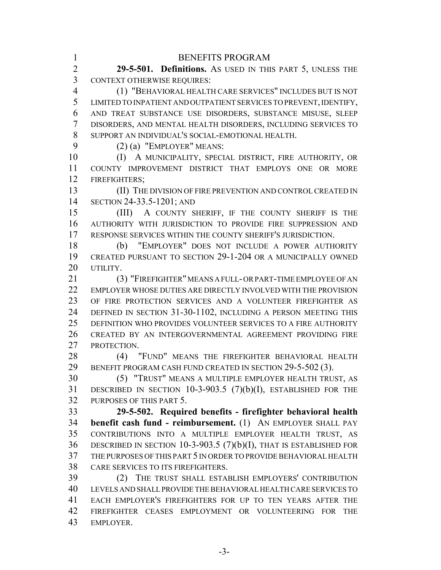CONTEXT OTHERWISE REQUIRES: (1) "BEHAVIORAL HEALTH CARE SERVICES" INCLUDES BUT IS NOT LIMITED TO INPATIENT AND OUTPATIENT SERVICES TO PREVENT, IDENTIFY, AND TREAT SUBSTANCE USE DISORDERS, SUBSTANCE MISUSE, SLEEP DISORDERS, AND MENTAL HEALTH DISORDERS, INCLUDING SERVICES TO SUPPORT AN INDIVIDUAL'S SOCIAL-EMOTIONAL HEALTH. (2) (a) "EMPLOYER" MEANS: 10 (I) A MUNICIPALITY, SPECIAL DISTRICT, FIRE AUTHORITY, OR COUNTY IMPROVEMENT DISTRICT THAT EMPLOYS ONE OR MORE FIREFIGHTERS; (II) THE DIVISION OF FIRE PREVENTION AND CONTROL CREATED IN SECTION 24-33.5-1201; AND (III) A COUNTY SHERIFF, IF THE COUNTY SHERIFF IS THE AUTHORITY WITH JURISDICTION TO PROVIDE FIRE SUPPRESSION AND RESPONSE SERVICES WITHIN THE COUNTY SHERIFF'S JURISDICTION. (b) "EMPLOYER" DOES NOT INCLUDE A POWER AUTHORITY CREATED PURSUANT TO SECTION 29-1-204 OR A MUNICIPALLY OWNED 20 UTILITY. (3) "FIREFIGHTER" MEANS A FULL- OR PART-TIME EMPLOYEE OF AN EMPLOYER WHOSE DUTIES ARE DIRECTLY INVOLVED WITH THE PROVISION OF FIRE PROTECTION SERVICES AND A VOLUNTEER FIREFIGHTER AS DEFINED IN SECTION 31-30-1102, INCLUDING A PERSON MEETING THIS DEFINITION WHO PROVIDES VOLUNTEER SERVICES TO A FIRE AUTHORITY CREATED BY AN INTERGOVERNMENTAL AGREEMENT PROVIDING FIRE PROTECTION. (4) "FUND" MEANS THE FIREFIGHTER BEHAVIORAL HEALTH 29 BENEFIT PROGRAM CASH FUND CREATED IN SECTION 29-5-502 (3). (5) "TRUST" MEANS A MULTIPLE EMPLOYER HEALTH TRUST, AS DESCRIBED IN SECTION 10-3-903.5 (7)(b)(I), ESTABLISHED FOR THE PURPOSES OF THIS PART 5. **29-5-502. Required benefits - firefighter behavioral health benefit cash fund - reimbursement.** (1) AN EMPLOYER SHALL PAY CONTRIBUTIONS INTO A MULTIPLE EMPLOYER HEALTH TRUST, AS DESCRIBED IN SECTION 10-3-903.5 (7)(b)(I), THAT IS ESTABLISHED FOR THE PURPOSES OF THIS PART 5 IN ORDER TO PROVIDE BEHAVIORAL HEALTH CARE SERVICES TO ITS FIREFIGHTERS. (2) THE TRUST SHALL ESTABLISH EMPLOYERS' CONTRIBUTION LEVELS AND SHALL PROVIDE THE BEHAVIORAL HEALTH CARE SERVICES TO EACH EMPLOYER'S FIREFIGHTERS FOR UP TO TEN YEARS AFTER THE FIREFIGHTER CEASES EMPLOYMENT OR VOLUNTEERING FOR THE EMPLOYER.

**29-5-501. Definitions.** AS USED IN THIS PART 5, UNLESS THE

-3-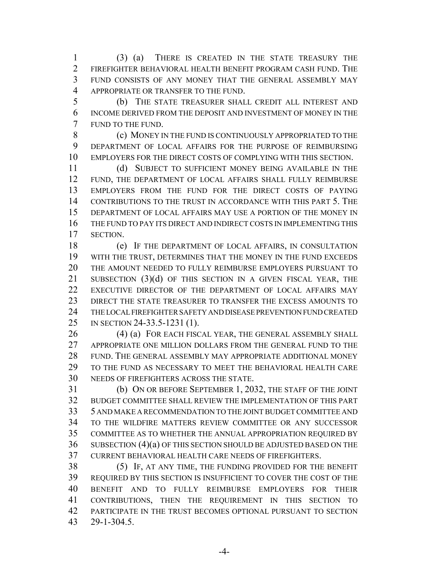(3) (a) THERE IS CREATED IN THE STATE TREASURY THE FIREFIGHTER BEHAVIORAL HEALTH BENEFIT PROGRAM CASH FUND. THE FUND CONSISTS OF ANY MONEY THAT THE GENERAL ASSEMBLY MAY APPROPRIATE OR TRANSFER TO THE FUND.

 (b) THE STATE TREASURER SHALL CREDIT ALL INTEREST AND INCOME DERIVED FROM THE DEPOSIT AND INVESTMENT OF MONEY IN THE FUND TO THE FUND.

**8 (c) MONEY IN THE FUND IS CONTINUOUSLY APPROPRIATED TO THE**  DEPARTMENT OF LOCAL AFFAIRS FOR THE PURPOSE OF REIMBURSING EMPLOYERS FOR THE DIRECT COSTS OF COMPLYING WITH THIS SECTION.

 (d) SUBJECT TO SUFFICIENT MONEY BEING AVAILABLE IN THE FUND, THE DEPARTMENT OF LOCAL AFFAIRS SHALL FULLY REIMBURSE EMPLOYERS FROM THE FUND FOR THE DIRECT COSTS OF PAYING CONTRIBUTIONS TO THE TRUST IN ACCORDANCE WITH THIS PART 5. THE DEPARTMENT OF LOCAL AFFAIRS MAY USE A PORTION OF THE MONEY IN THE FUND TO PAY ITS DIRECT AND INDIRECT COSTS IN IMPLEMENTING THIS SECTION.

 (e) IF THE DEPARTMENT OF LOCAL AFFAIRS, IN CONSULTATION WITH THE TRUST, DETERMINES THAT THE MONEY IN THE FUND EXCEEDS THE AMOUNT NEEDED TO FULLY REIMBURSE EMPLOYERS PURSUANT TO SUBSECTION (3)(d) OF THIS SECTION IN A GIVEN FISCAL YEAR, THE EXECUTIVE DIRECTOR OF THE DEPARTMENT OF LOCAL AFFAIRS MAY DIRECT THE STATE TREASURER TO TRANSFER THE EXCESS AMOUNTS TO THE LOCAL FIREFIGHTER SAFETY AND DISEASE PREVENTION FUND CREATED IN SECTION 24-33.5-1231 (1).

 (4) (a) FOR EACH FISCAL YEAR, THE GENERAL ASSEMBLY SHALL APPROPRIATE ONE MILLION DOLLARS FROM THE GENERAL FUND TO THE FUND. THE GENERAL ASSEMBLY MAY APPROPRIATE ADDITIONAL MONEY TO THE FUND AS NECESSARY TO MEET THE BEHAVIORAL HEALTH CARE NEEDS OF FIREFIGHTERS ACROSS THE STATE.

 (b) ON OR BEFORE SEPTEMBER 1, 2032, THE STAFF OF THE JOINT BUDGET COMMITTEE SHALL REVIEW THE IMPLEMENTATION OF THIS PART 5 AND MAKE A RECOMMENDATION TO THE JOINT BUDGET COMMITTEE AND TO THE WILDFIRE MATTERS REVIEW COMMITTEE OR ANY SUCCESSOR COMMITTEE AS TO WHETHER THE ANNUAL APPROPRIATION REQUIRED BY SUBSECTION (4)(a) OF THIS SECTION SHOULD BE ADJUSTED BASED ON THE CURRENT BEHAVIORAL HEALTH CARE NEEDS OF FIREFIGHTERS.

 (5) IF, AT ANY TIME, THE FUNDING PROVIDED FOR THE BENEFIT REQUIRED BY THIS SECTION IS INSUFFICIENT TO COVER THE COST OF THE BENEFIT AND TO FULLY REIMBURSE EMPLOYERS FOR THEIR CONTRIBUTIONS, THEN THE REQUIREMENT IN THIS SECTION TO PARTICIPATE IN THE TRUST BECOMES OPTIONAL PURSUANT TO SECTION 29-1-304.5.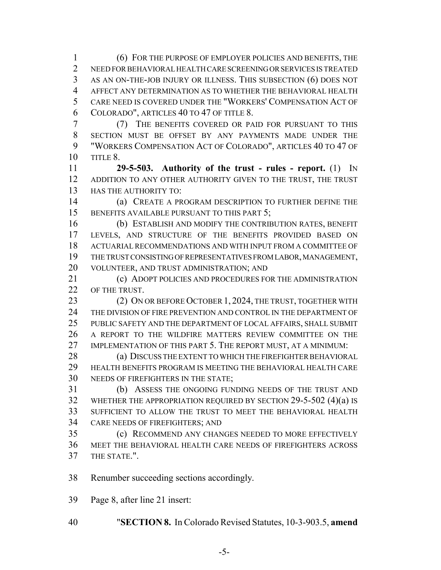(6) FOR THE PURPOSE OF EMPLOYER POLICIES AND BENEFITS, THE NEED FOR BEHAVIORAL HEALTH CARE SCREENING OR SERVICES IS TREATED AS AN ON-THE-JOB INJURY OR ILLNESS. THIS SUBSECTION (6) DOES NOT AFFECT ANY DETERMINATION AS TO WHETHER THE BEHAVIORAL HEALTH CARE NEED IS COVERED UNDER THE "WORKERS' COMPENSATION ACT OF COLORADO", ARTICLES 40 TO 47 OF TITLE 8.

 (7) THE BENEFITS COVERED OR PAID FOR PURSUANT TO THIS SECTION MUST BE OFFSET BY ANY PAYMENTS MADE UNDER THE "WORKERS COMPENSATION ACT OF COLORADO", ARTICLES 40 TO 47 OF TITLE 8.

 **29-5-503. Authority of the trust - rules - report.** (1) IN ADDITION TO ANY OTHER AUTHORITY GIVEN TO THE TRUST, THE TRUST 13 HAS THE AUTHORITY TO:

 (a) CREATE A PROGRAM DESCRIPTION TO FURTHER DEFINE THE 15 BENEFITS AVAILABLE PURSUANT TO THIS PART 5;

 (b) ESTABLISH AND MODIFY THE CONTRIBUTION RATES, BENEFIT LEVELS, AND STRUCTURE OF THE BENEFITS PROVIDED BASED ON ACTUARIAL RECOMMENDATIONS AND WITH INPUT FROM A COMMITTEE OF THE TRUST CONSISTING OF REPRESENTATIVES FROM LABOR, MANAGEMENT, VOLUNTEER, AND TRUST ADMINISTRATION; AND

 (c) ADOPT POLICIES AND PROCEDURES FOR THE ADMINISTRATION 22 OF THE TRUST.

23 (2) ON OR BEFORE OCTOBER 1, 2024, THE TRUST, TOGETHER WITH THE DIVISION OF FIRE PREVENTION AND CONTROL IN THE DEPARTMENT OF PUBLIC SAFETY AND THE DEPARTMENT OF LOCAL AFFAIRS, SHALL SUBMIT A REPORT TO THE WILDFIRE MATTERS REVIEW COMMITTEE ON THE IMPLEMENTATION OF THIS PART 5. THE REPORT MUST, AT A MINIMUM:

28 (a) DISCUSS THE EXTENT TO WHICH THE FIREFIGHTER BEHAVIORAL HEALTH BENEFITS PROGRAM IS MEETING THE BEHAVIORAL HEALTH CARE NEEDS OF FIREFIGHTERS IN THE STATE;

 (b) ASSESS THE ONGOING FUNDING NEEDS OF THE TRUST AND WHETHER THE APPROPRIATION REQUIRED BY SECTION 29-5-502 (4)(a) IS SUFFICIENT TO ALLOW THE TRUST TO MEET THE BEHAVIORAL HEALTH CARE NEEDS OF FIREFIGHTERS; AND

 (c) RECOMMEND ANY CHANGES NEEDED TO MORE EFFECTIVELY MEET THE BEHAVIORAL HEALTH CARE NEEDS OF FIREFIGHTERS ACROSS THE STATE.".

Renumber succeeding sections accordingly.

Page 8, after line 21 insert:

"**SECTION 8.** In Colorado Revised Statutes, 10-3-903.5, **amend**